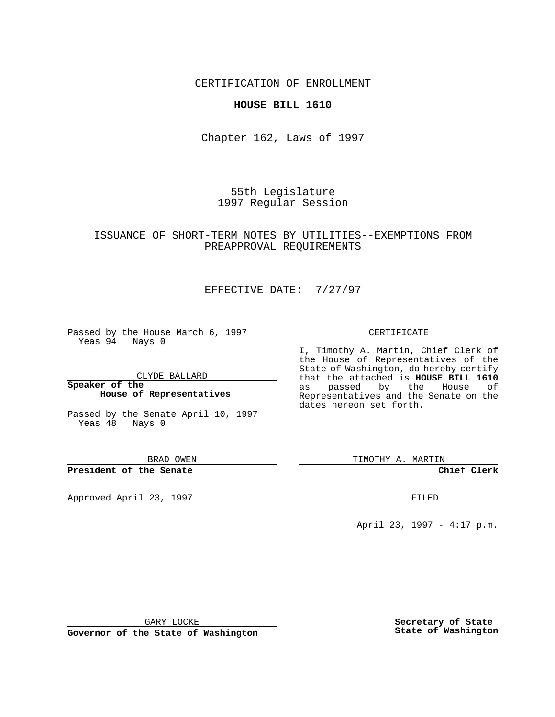CERTIFICATION OF ENROLLMENT

### **HOUSE BILL 1610**

Chapter 162, Laws of 1997

55th Legislature 1997 Regular Session

## ISSUANCE OF SHORT-TERM NOTES BY UTILITIES--EXEMPTIONS FROM PREAPPROVAL REQUIREMENTS

## EFFECTIVE DATE: 7/27/97

Passed by the House March 6, 1997 Yeas 94 Nays 0

CLYDE BALLARD

**Speaker of the House of Representatives**

Passed by the Senate April 10, 1997 Yeas 48 Nays 0

BRAD OWEN

**President of the Senate**

Approved April 23, 1997 **FILED** 

#### CERTIFICATE

I, Timothy A. Martin, Chief Clerk of the House of Representatives of the State of Washington, do hereby certify that the attached is **HOUSE BILL 1610** as passed by the House of Representatives and the Senate on the dates hereon set forth.

TIMOTHY A. MARTIN

**Chief Clerk**

April 23, 1997 - 4:17 p.m.

GARY LOCKE

**Governor of the State of Washington**

**Secretary of State State of Washington**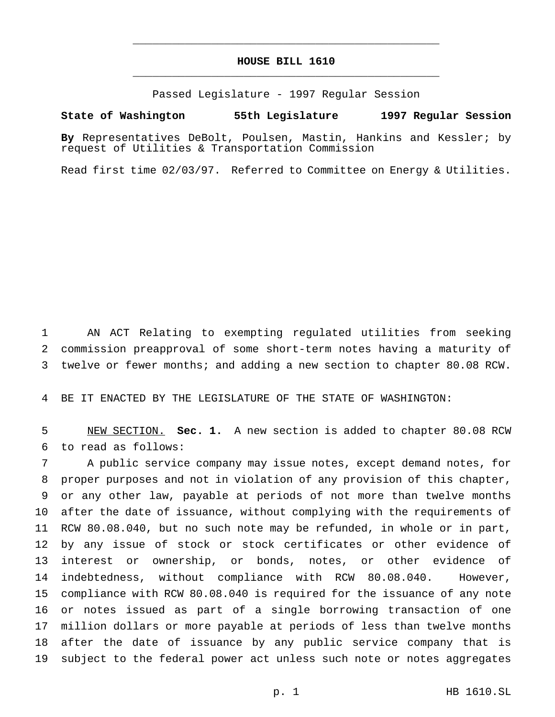# **HOUSE BILL 1610** \_\_\_\_\_\_\_\_\_\_\_\_\_\_\_\_\_\_\_\_\_\_\_\_\_\_\_\_\_\_\_\_\_\_\_\_\_\_\_\_\_\_\_\_\_\_\_

\_\_\_\_\_\_\_\_\_\_\_\_\_\_\_\_\_\_\_\_\_\_\_\_\_\_\_\_\_\_\_\_\_\_\_\_\_\_\_\_\_\_\_\_\_\_\_

Passed Legislature - 1997 Regular Session

#### **State of Washington 55th Legislature 1997 Regular Session**

**By** Representatives DeBolt, Poulsen, Mastin, Hankins and Kessler; by request of Utilities & Transportation Commission

Read first time 02/03/97. Referred to Committee on Energy & Utilities.

 AN ACT Relating to exempting regulated utilities from seeking commission preapproval of some short-term notes having a maturity of twelve or fewer months; and adding a new section to chapter 80.08 RCW.

BE IT ENACTED BY THE LEGISLATURE OF THE STATE OF WASHINGTON:

 NEW SECTION. **Sec. 1.** A new section is added to chapter 80.08 RCW to read as follows:

 A public service company may issue notes, except demand notes, for proper purposes and not in violation of any provision of this chapter, or any other law, payable at periods of not more than twelve months after the date of issuance, without complying with the requirements of RCW 80.08.040, but no such note may be refunded, in whole or in part, by any issue of stock or stock certificates or other evidence of interest or ownership, or bonds, notes, or other evidence of indebtedness, without compliance with RCW 80.08.040. However, compliance with RCW 80.08.040 is required for the issuance of any note or notes issued as part of a single borrowing transaction of one million dollars or more payable at periods of less than twelve months after the date of issuance by any public service company that is subject to the federal power act unless such note or notes aggregates